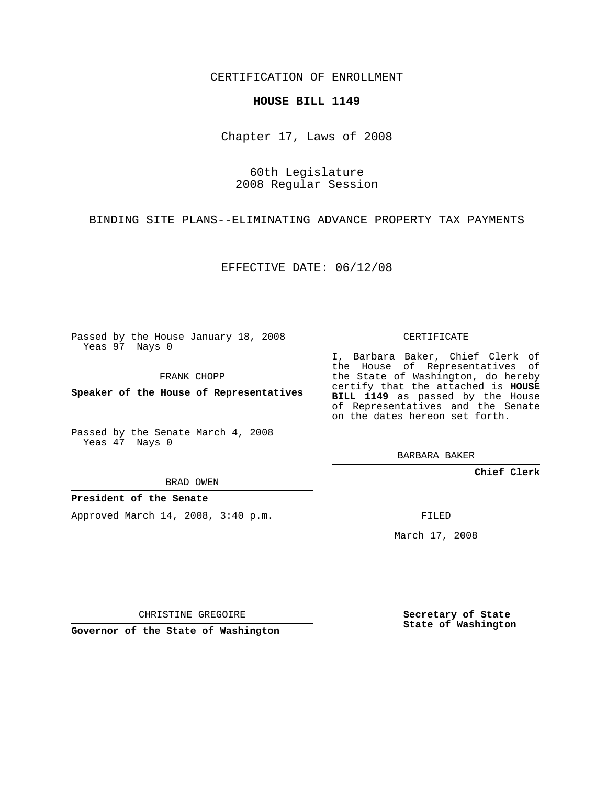CERTIFICATION OF ENROLLMENT

## **HOUSE BILL 1149**

Chapter 17, Laws of 2008

60th Legislature 2008 Regular Session

BINDING SITE PLANS--ELIMINATING ADVANCE PROPERTY TAX PAYMENTS

EFFECTIVE DATE: 06/12/08

Passed by the House January 18, 2008 Yeas 97 Nays 0

FRANK CHOPP

**Speaker of the House of Representatives**

Passed by the Senate March 4, 2008 Yeas 47 Nays 0

BRAD OWEN

**President of the Senate**

Approved March 14, 2008, 3:40 p.m.

CERTIFICATE

I, Barbara Baker, Chief Clerk of the House of Representatives of the State of Washington, do hereby certify that the attached is **HOUSE BILL 1149** as passed by the House of Representatives and the Senate on the dates hereon set forth.

BARBARA BAKER

**Chief Clerk**

FILED

March 17, 2008

CHRISTINE GREGOIRE

**Governor of the State of Washington**

**Secretary of State State of Washington**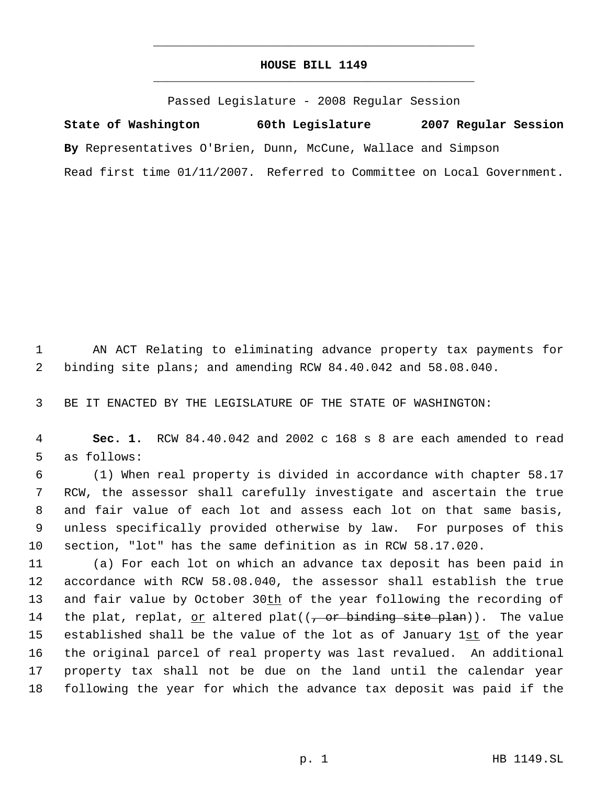## **HOUSE BILL 1149** \_\_\_\_\_\_\_\_\_\_\_\_\_\_\_\_\_\_\_\_\_\_\_\_\_\_\_\_\_\_\_\_\_\_\_\_\_\_\_\_\_\_\_\_\_

\_\_\_\_\_\_\_\_\_\_\_\_\_\_\_\_\_\_\_\_\_\_\_\_\_\_\_\_\_\_\_\_\_\_\_\_\_\_\_\_\_\_\_\_\_

Passed Legislature - 2008 Regular Session

**State of Washington 60th Legislature 2007 Regular Session By** Representatives O'Brien, Dunn, McCune, Wallace and Simpson Read first time 01/11/2007. Referred to Committee on Local Government.

 1 AN ACT Relating to eliminating advance property tax payments for 2 binding site plans; and amending RCW 84.40.042 and 58.08.040.

3 BE IT ENACTED BY THE LEGISLATURE OF THE STATE OF WASHINGTON:

 4 **Sec. 1.** RCW 84.40.042 and 2002 c 168 s 8 are each amended to read 5 as follows:

 (1) When real property is divided in accordance with chapter 58.17 RCW, the assessor shall carefully investigate and ascertain the true and fair value of each lot and assess each lot on that same basis, unless specifically provided otherwise by law. For purposes of this section, "lot" has the same definition as in RCW 58.17.020.

 (a) For each lot on which an advance tax deposit has been paid in accordance with RCW 58.08.040, the assessor shall establish the true 13 and fair value by October 30th of the year following the recording of 14 the plat, replat, <u>or</u> altered plat( $(\tau$  or binding site plan)). The value 15 established shall be the value of the lot as of January 1st of the year the original parcel of real property was last revalued. An additional property tax shall not be due on the land until the calendar year following the year for which the advance tax deposit was paid if the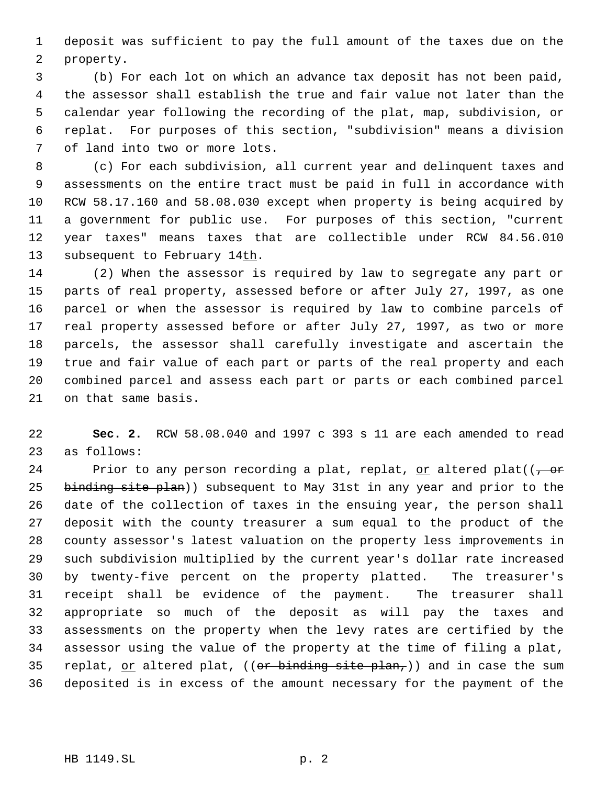deposit was sufficient to pay the full amount of the taxes due on the property.

 (b) For each lot on which an advance tax deposit has not been paid, the assessor shall establish the true and fair value not later than the calendar year following the recording of the plat, map, subdivision, or replat. For purposes of this section, "subdivision" means a division of land into two or more lots.

 (c) For each subdivision, all current year and delinquent taxes and assessments on the entire tract must be paid in full in accordance with RCW 58.17.160 and 58.08.030 except when property is being acquired by a government for public use. For purposes of this section, "current year taxes" means taxes that are collectible under RCW 84.56.010 13 subsequent to February 14th.

 (2) When the assessor is required by law to segregate any part or parts of real property, assessed before or after July 27, 1997, as one parcel or when the assessor is required by law to combine parcels of real property assessed before or after July 27, 1997, as two or more parcels, the assessor shall carefully investigate and ascertain the true and fair value of each part or parts of the real property and each combined parcel and assess each part or parts or each combined parcel on that same basis.

 **Sec. 2.** RCW 58.08.040 and 1997 c 393 s 11 are each amended to read as follows:

24 Prior to any person recording a plat, replat, or altered plat( $(-\theta)^2$ 25 binding site plan)) subsequent to May 31st in any year and prior to the date of the collection of taxes in the ensuing year, the person shall deposit with the county treasurer a sum equal to the product of the county assessor's latest valuation on the property less improvements in such subdivision multiplied by the current year's dollar rate increased by twenty-five percent on the property platted. The treasurer's receipt shall be evidence of the payment. The treasurer shall appropriate so much of the deposit as will pay the taxes and assessments on the property when the levy rates are certified by the assessor using the value of the property at the time of filing a plat, 35 replat,  $or$  altered plat, ((or binding site plan,)) and in case the sum deposited is in excess of the amount necessary for the payment of the